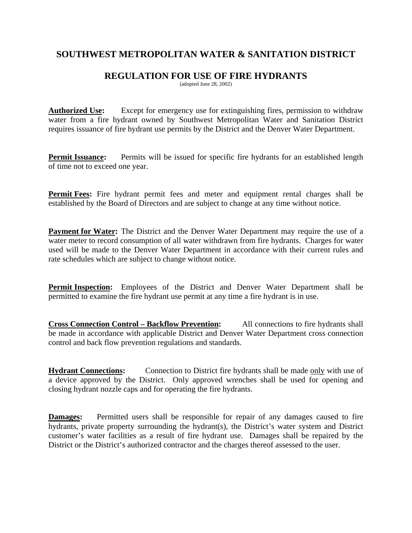## **SOUTHWEST METROPOLITAN WATER & SANITATION DISTRICT**

## **REGULATION FOR USE OF FIRE HYDRANTS**

(adopted June 28, 2002)

**Authorized Use:** Except for emergency use for extinguishing fires, permission to withdraw water from a fire hydrant owned by Southwest Metropolitan Water and Sanitation District requires issuance of fire hydrant use permits by the District and the Denver Water Department.

**Permit Issuance:** Permits will be issued for specific fire hydrants for an established length of time not to exceed one year.

**Permit Fees:** Fire hydrant permit fees and meter and equipment rental charges shall be established by the Board of Directors and are subject to change at any time without notice.

**Payment for Water:** The District and the Denver Water Department may require the use of a water meter to record consumption of all water withdrawn from fire hydrants. Charges for water used will be made to the Denver Water Department in accordance with their current rules and rate schedules which are subject to change without notice.

**Permit Inspection:** Employees of the District and Denver Water Department shall be permitted to examine the fire hydrant use permit at any time a fire hydrant is in use.

**Cross Connection Control – Backflow Prevention:** All connections to fire hydrants shall be made in accordance with applicable District and Denver Water Department cross connection control and back flow prevention regulations and standards.

**Hydrant Connections:** Connection to District fire hydrants shall be made only with use of a device approved by the District. Only approved wrenches shall be used for opening and closing hydrant nozzle caps and for operating the fire hydrants.

**Damages:** Permitted users shall be responsible for repair of any damages caused to fire hydrants, private property surrounding the hydrant(s), the District's water system and District customer's water facilities as a result of fire hydrant use. Damages shall be repaired by the District or the District's authorized contractor and the charges thereof assessed to the user.